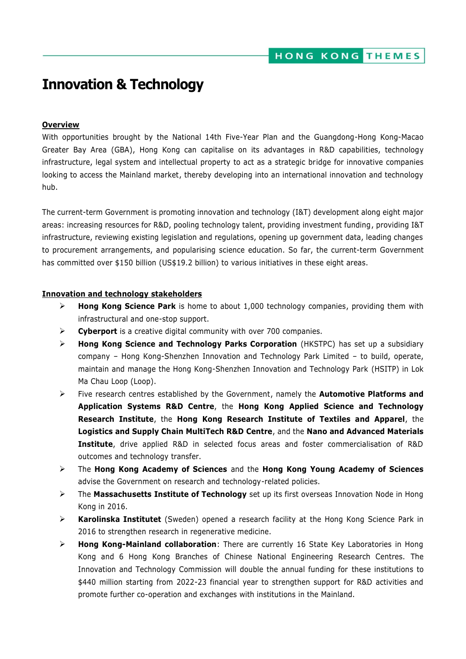# **Innovation & Technology**

## **Overview**

With opportunities brought by the National 14th Five-Year Plan and the Guangdong-Hong Kong-Macao Greater Bay Area (GBA), Hong Kong can capitalise on its advantages in R&D capabilities, technology infrastructure, legal system and intellectual property to act as a strategic bridge for innovative companies looking to access the Mainland market, thereby developing into an international innovation and technology hub.

The current-term Government is promoting innovation and technology (I&T) development along eight major areas: increasing resources for R&D, pooling technology talent, providing investment funding, providing I&T infrastructure, reviewing existing legislation and regulations, opening up government data, leading changes to procurement arrangements, and popularising science education. So far, the current-term Government has committed over \$150 billion (US\$19.2 billion) to various initiatives in these eight areas.

### **Innovation and technology stakeholders**

- **Hong Kong Science Park** is home to about 1,000 technology companies, providing them with infrastructural and one-stop support.
- **Cyberport** is a creative digital community with over 700 companies.
- **Hong Kong Science and Technology Parks Corporation** (HKSTPC) has set up a subsidiary company – Hong Kong-Shenzhen Innovation and Technology Park Limited – to build, operate, maintain and manage the Hong Kong-Shenzhen Innovation and Technology Park (HSITP) in Lok Ma Chau Loop (Loop).
- Five research centres established by the Government, namely the **Automotive Platforms and Application Systems R&D Centre**, the **Hong Kong Applied Science and Technology Research Institute**, the **Hong Kong Research Institute of Textiles and Apparel**, the **Logistics and Supply Chain MultiTech R&D Centre**, and the **Nano and Advanced Materials Institute**, drive applied R&D in selected focus areas and foster commercialisation of R&D outcomes and technology transfer.
- The **Hong Kong Academy of Sciences** and the **Hong Kong Young Academy of Sciences**  advise the Government on research and technology-related policies.
- The **Massachusetts Institute of Technology** set up its first overseas Innovation Node in Hong Kong in 2016.
- **Karolinska Institutet** (Sweden) opened a research facility at the Hong Kong Science Park in 2016 to strengthen research in regenerative medicine.
- **Hong Kong-Mainland collaboration**: There are currently 16 State Key Laboratories in Hong Kong and 6 Hong Kong Branches of Chinese National Engineering Research Centres. The Innovation and Technology Commission will double the annual funding for these institutions to \$440 million starting from 2022-23 financial year to strengthen support for R&D activities and promote further co-operation and exchanges with institutions in the Mainland.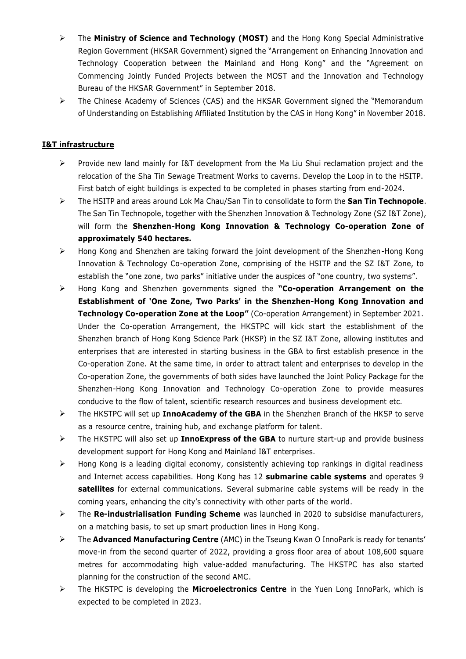- The **Ministry of Science and Technology (MOST)** and the Hong Kong Special Administrative Region Government (HKSAR Government) signed the "Arrangement on Enhancing Innovation and Technology Cooperation between the Mainland and Hong Kong" and the "Agreement on Commencing Jointly Funded Projects between the MOST and the Innovation and Technology Bureau of the HKSAR Government" in September 2018.
- The Chinese Academy of Sciences (CAS) and the HKSAR Government signed the "Memorandum of Understanding on Establishing Affiliated Institution by the CAS in Hong Kong" in November 2018.

# **I&T infrastructure**

- $\triangleright$  Provide new land mainly for I&T development from the Ma Liu Shui reclamation project and the relocation of the Sha Tin Sewage Treatment Works to caverns. Develop the Loop in to the HSITP. First batch of eight buildings is expected to be completed in phases starting from end-2024.
- The HSITP and areas around Lok Ma Chau/San Tin to consolidate to form the **San Tin Technopole**. The San Tin Technopole, together with the Shenzhen Innovation & Technology Zone (SZ I&T Zone), will form the **Shenzhen-Hong Kong Innovation & Technology Co-operation Zone of approximately 540 hectares.**
- Hong Kong and Shenzhen are taking forward the joint development of the Shenzhen-Hong Kong Innovation & Technology Co-operation Zone, comprising of the HSITP and the SZ I&T Zone, to establish the "one zone, two parks" initiative under the auspices of "one country, two systems".
- Hong Kong and Shenzhen governments signed the **"Co-operation Arrangement on the Establishment of 'One Zone, Two Parks' in the Shenzhen-Hong Kong Innovation and Technology Co-operation Zone at the Loop"** (Co-operation Arrangement) in September 2021. Under the Co-operation Arrangement, the HKSTPC will kick start the establishment of the Shenzhen branch of Hong Kong Science Park (HKSP) in the SZ I&T Zone, allowing institutes and enterprises that are interested in starting business in the GBA to first establish presence in the Co-operation Zone. At the same time, in order to attract talent and enterprises to develop in the Co-operation Zone, the governments of both sides have launched the Joint Policy Package for the Shenzhen-Hong Kong Innovation and Technology Co-operation Zone to provide measures conducive to the flow of talent, scientific research resources and business development etc.
- The HKSTPC will set up **InnoAcademy of the GBA** in the Shenzhen Branch of the HKSP to serve as a resource centre, training hub, and exchange platform for talent.
- The HKSTPC will also set up **InnoExpress of the GBA** to nurture start-up and provide business development support for Hong Kong and Mainland I&T enterprises.
- $\triangleright$  Hong Kong is a leading digital economy, consistently achieving top rankings in digital readiness and Internet access capabilities. Hong Kong has 12 **submarine cable systems** and operates 9 **satellites** for external communications. Several submarine cable systems will be ready in the coming years, enhancing the city's connectivity with other parts of the world.
- The **Re-industrialisation Funding Scheme** was launched in 2020 to subsidise manufacturers, on a matching basis, to set up smart production lines in Hong Kong.
- The **Advanced Manufacturing Centre** (AMC) in the Tseung Kwan O InnoPark is ready for tenants' move-in from the second quarter of 2022, providing a gross floor area of about 108,600 square metres for accommodating high value-added manufacturing. The HKSTPC has also started planning for the construction of the second AMC.
- The HKSTPC is developing the **Microelectronics Centre** in the Yuen Long InnoPark, which is expected to be completed in 2023.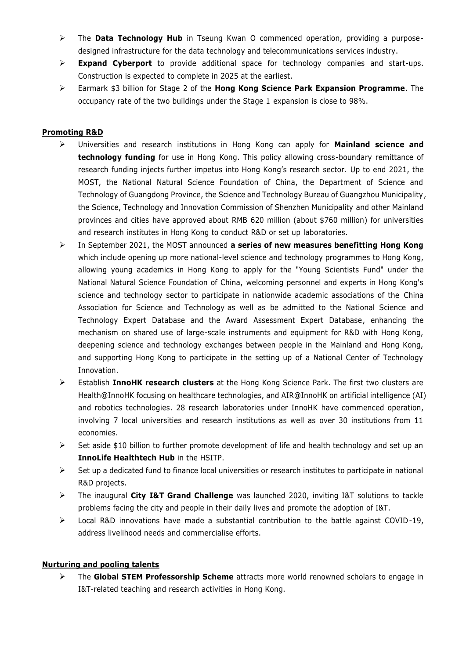- The **Data Technology Hub** in Tseung Kwan O commenced operation, providing a purposedesigned infrastructure for the data technology and telecommunications services industry.
- **Expand Cyberport** to provide additional space for technology companies and start-ups. Construction is expected to complete in 2025 at the earliest.
- Earmark \$3 billion for Stage 2 of the **Hong Kong Science Park Expansion Programme**. The occupancy rate of the two buildings under the Stage 1 expansion is close to 98%.

## **Promoting R&D**

- Universities and research institutions in Hong Kong can apply for **Mainland science and technology funding** for use in Hong Kong. This policy allowing cross-boundary remittance of research funding injects further impetus into Hong Kong's research sector. Up to end 2021, the MOST, the National Natural Science Foundation of China, the Department of Science and Technology of Guangdong Province, the Science and Technology Bureau of Guangzhou Municipality, the Science, Technology and Innovation Commission of Shenzhen Municipality and other Mainland provinces and cities have approved about RMB 620 million (about \$760 million) for universities and research institutes in Hong Kong to conduct R&D or set up laboratories.
- In September 2021, the MOST announced **a series of new measures benefitting Hong Kong** which include opening up more national-level science and technology programmes to Hong Kong, allowing young academics in Hong Kong to apply for the "Young Scientists Fund" under the National Natural Science Foundation of China, welcoming personnel and experts in Hong Kong's science and technology sector to participate in nationwide academic associations of the China Association for Science and Technology as well as be admitted to the National Science and Technology Expert Database and the Award Assessment Expert Database, enhancing the mechanism on shared use of large-scale instruments and equipment for R&D with Hong Kong, deepening science and technology exchanges between people in the Mainland and Hong Kong, and supporting Hong Kong to participate in the setting up of a National Center of Technology Innovation.
- Establish **InnoHK research clusters** at the Hong Kong Science Park. The first two clusters are Health@InnoHK focusing on healthcare technologies, and AIR@InnoHK on artificial intelligence (AI) and robotics technologies. 28 research laboratories under InnoHK have commenced operation, involving 7 local universities and research institutions as well as over 30 institutions from 11 economies.
- $\triangleright$  Set aside \$10 billion to further promote development of life and health technology and set up an **InnoLife Healthtech Hub** in the HSITP.
- $\triangleright$  Set up a dedicated fund to finance local universities or research institutes to participate in national R&D projects.
- The inaugural **City I&T Grand Challenge** was launched 2020, inviting I&T solutions to tackle problems facing the city and people in their daily lives and promote the adoption of I&T.
- $\triangleright$  Local R&D innovations have made a substantial contribution to the battle against COVID-19, address livelihood needs and commercialise efforts.

### **Nurturing and pooling talents**

 The **Global STEM Professorship Scheme** attracts more world renowned scholars to engage in I&T-related teaching and research activities in Hong Kong.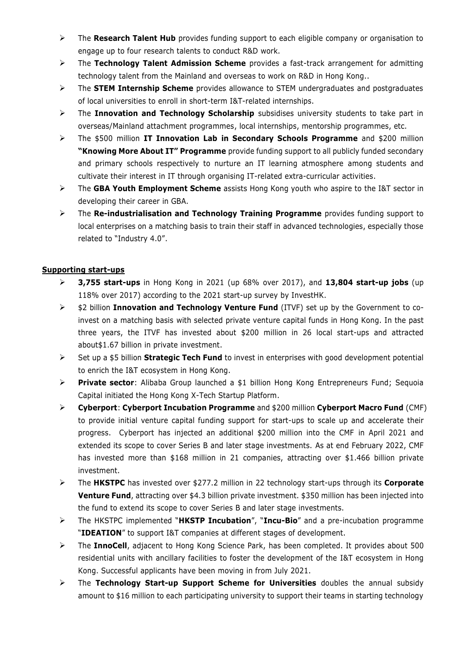- The **Research Talent Hub** provides funding support to each eligible company or organisation to engage up to four research talents to conduct R&D work.
- The **Technology Talent Admission Scheme** provides a fast-track arrangement for admitting technology talent from the Mainland and overseas to work on R&D in Hong Kong..
- The **STEM Internship Scheme** provides allowance to STEM undergraduates and postgraduates of local universities to enroll in short-term I&T-related internships.
- The **Innovation and Technology Scholarship** subsidises university students to take part in overseas/Mainland attachment programmes, local internships, mentorship programmes, etc.
- The \$500 million **IT Innovation Lab in Secondary Schools Programme** and \$200 million **"Knowing More About IT" Programme** provide funding support to all publicly funded secondary and primary schools respectively to nurture an IT learning atmosphere among students and cultivate their interest in IT through organising IT-related extra-curricular activities.
- The **GBA Youth Employment Scheme** assists Hong Kong youth who aspire to the I&T sector in developing their career in GBA.
- The **Re-industrialisation and Technology Training Programme** provides funding support to local enterprises on a matching basis to train their staff in advanced technologies, especially those related to "Industry 4.0".

## **Supporting start-ups**

- **3,755 start-ups** in Hong Kong in 2021 (up 68% over 2017), and **13,804 start-up jobs** (up 118% over 2017) according to the 2021 start-up survey by InvestHK.
- \$2 billion **Innovation and Technology Venture Fund** (ITVF) set up by the Government to coinvest on a matching basis with selected private venture capital funds in Hong Kong. In the past three years, the ITVF has invested about \$200 million in 26 local start-ups and attracted about\$1.67 billion in private investment.
- Set up a \$5 billion **Strategic Tech Fund** to invest in enterprises with good development potential to enrich the I&T ecosystem in Hong Kong.
- **Private sector**: Alibaba Group launched a \$1 billion Hong Kong Entrepreneurs Fund; Sequoia Capital initiated the Hong Kong X-Tech Startup Platform.
- **Cyberport**: **Cyberport Incubation Programme** and \$200 million **Cyberport Macro Fund** (CMF) to provide initial venture capital funding support for start-ups to scale up and accelerate their progress. Cyberport has injected an additional \$200 million into the CMF in April 2021 and extended its scope to cover Series B and later stage investments. As at end February 2022, CMF has invested more than \$168 million in 21 companies, attracting over \$1.466 billion private investment.
- The **HKSTPC** has invested over \$277.2 million in 22 technology start-ups through its **Corporate Venture Fund**, attracting over \$4.3 billion private investment. \$350 million has been injected into the fund to extend its scope to cover Series B and later stage investments.
- The HKSTPC implemented "**HKSTP Incubation**", "**Incu-Bio**" and a pre-incubation programme "**IDEATION**" to support I&T companies at different stages of development.
- The **InnoCell**, adjacent to Hong Kong Science Park, has been completed. It provides about 500 residential units with ancillary facilities to foster the development of the I&T ecosystem in Hong Kong. Successful applicants have been moving in from July 2021.
- The **Technology Start-up Support Scheme for Universities** doubles the annual subsidy amount to \$16 million to each participating university to support their teams in starting technology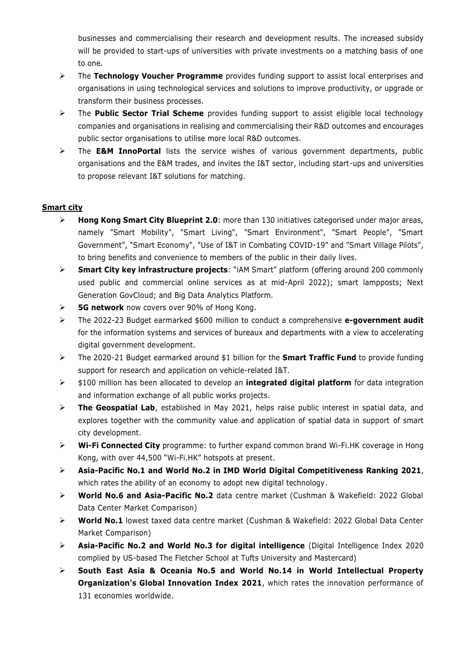businesses and commercialising their research and development results. The increased subsidy will be provided to start-ups of universities with private investments on a matching basis of one to one.

- The **Technology Voucher Programme** provides funding support to assist local enterprises and organisations in using technological services and solutions to improve productivity, or upgrade or transform their business processes.
- The **Public Sector Trial Scheme** provides funding support to assist eligible local technology companies and organisations in realising and commercialising their R&D outcomes and encourages public sector organisations to utilise more local R&D outcomes.
- The **E&M InnoPortal** lists the service wishes of various government departments, public organisations and the E&M trades, and invites the I&T sector, including start-ups and universities to propose relevant I&T solutions for matching.

## **Smart city**

- **Hong Kong Smart City Blueprint 2.0**: more than 130 initiatives categorised under major areas, namely "Smart Mobility", "Smart Living", "Smart Environment", "Smart People", "Smart Government", "Smart Economy", "Use of I&T in Combating COVID-19" and "Smart Village Pilots", to bring benefits and convenience to members of the public in their daily lives.
- **Smart City key infrastructure projects**: "iAM Smart" platform (offering around 200 commonly used public and commercial online services as at mid-April 2022); smart lampposts; Next Generation GovCloud; and Big Data Analytics Platform.
- **5G network** now covers over 90% of Hong Kong.
- The 2022-23 Budget earmarked \$600 million to conduct a comprehensive **e-government audit** for the information systems and services of bureaux and departments with a view to accelerating digital government development.
- The 2020-21 Budget earmarked around \$1 billion for the **Smart Traffic Fund** to provide funding support for research and application on vehicle-related I&T.
- \$100 million has been allocated to develop an **integrated digital platform** for data integration and information exchange of all public works projects.
- **The Geospatial Lab**, established in May 2021, helps raise public interest in spatial data, and explores together with the community value and application of spatial data in support of smart city development.
- **Wi-Fi Connected City** programme: to further expand common brand Wi-Fi.HK coverage in Hong Kong, with over 44,500 "Wi-Fi.HK" hotspots at present.
- **Asia-Pacific No.1 and World No.2 in IMD World Digital Competitiveness Ranking 2021**, which rates the ability of an economy to adopt new digital technology.
- **World No.6 and Asia-Pacific No.2** data centre market (Cushman & Wakefield: 2022 Global Data Center Market Comparison)
- **World No.1** lowest taxed data centre market (Cushman & Wakefield: 2022 Global Data Center Market Comparison)
- **Asia-Pacific No.2 and World No.3 for digital intelligence** (Digital Intelligence Index 2020 complied by US-based The Fletcher School at Tufts University and Mastercard)
- **South East Asia & Oceania No.5 and World No.14 in World Intellectual Property Organization's Global Innovation Index 2021**, which rates the innovation performance of 131 economies worldwide.